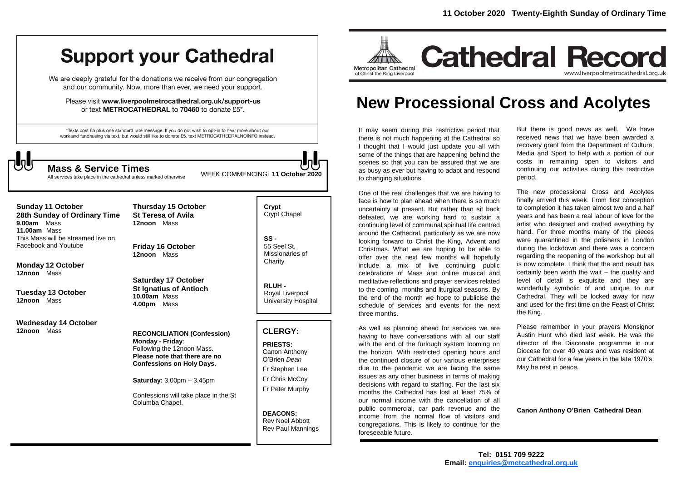# **Support your Cathedral**

We are deeply grateful for the donations we receive from our congregation and our community. Now, more than ever, we need your support.

Please visit www.liverpoolmetrocathedral.org.uk/support-us or text METROCATHEDRAL to 70460 to donate £5\*.

\*Texts cost £5 plus one standard rate message. If you do not wish to opt-in to hear more about our work and fundraising via text, but would still like to donate £5, text METROCATHEDRALNOINFO instead.

All services take place in the cathedral unless marked otherwise

WEEK COMMENCING: **<sup>11</sup> October <sup>2020</sup> Mass & Service Times**

**Sunday 11 October 28th Sunday of Ordinary Time 9.00am** Mass

**11.00am** Mass This Mass will be streamed live on Facebook and Youtube

**Monday 12 October 12noon** Mass

**Tuesday 13 October 12noon** Mass

**Wednesday 14 October 12noon** Mass

**Thursday 15 October St Teresa of Avila 12noon** Mass

**Friday 16 October 12noon** Mass

**Saturday 17 October St Ignatius of Antioch 10.00am** Mass **4.00pm** Mass

**RECONCILIATION (Confession) Monday - Friday**: Following the 12noon Mass. **Please note that there are no Confessions on Holy Days.**

**Saturday:** 3.00pm – 3.45pm

Confessions will take place in the St Columba Chapel.

**Crypt**  Crypt Chapel

**SS -** 55 Seel St, Missionaries of **Charity** 

**RLUH -** Royal Liverpool University Hospital

### **CLERGY:**

**PRIESTS:** Canon Anthony O'Brien *Dean* Fr Stephen Lee Fr Chris McCoy Fr Peter Murphy

**DEACONS:** Rev Noel Abbott Rev Paul Mannings



## **New Processional Cross and Acolytes**

It may seem during this restrictive period that there is not much happening at the Cathedral so I thought that I would just update you all with some of the things that are happening behind the scenes so that you can be assured that we are as busy as ever but having to adapt and respond to changing situations.

One of the real challenges that we are having to face is how to plan ahead when there is so much uncertainty at present. But rather than sit back defeated, we are working hard to sustain a continuing level of communal spiritual life centred around the Cathedral, particularly as we are now looking forward to Christ the King, Advent and Christmas. What we are hoping to be able to offer over the next few months will hopefully include a mix of live continuing public celebrations of Mass and online musical and meditative reflections and prayer services related to the coming months and liturgical seasons. By the end of the month we hope to publicise the schedule of services and events for the next three months.

As well as planning ahead for services we are having to have conversations with all our staff with the end of the furlough system looming on the horizon. With restricted opening hours and the continued closure of our various enterprises due to the pandemic we are facing the same issues as any other business in terms of making decisions with regard to staffing. For the last six months the Cathedral has lost at least 75% of our normal income with the cancellation of all public commercial, car park revenue and the income from the normal flow of visitors and congregations. This is likely to continue for the foreseeable future.

But there is good news as well. We have received news that we have been awarded a recovery grant from the Department of Culture, Media and Sport to help with a portion of our costs in remaining open to visitors and continuing our activities during this restrictive period.

The new processional Cross and Acolytes finally arrived this week. From first conception to completion it has taken almost two and a half years and has been a real labour of love for the artist who designed and crafted everything by hand. For three months many of the pieces were quarantined in the polishers in London during the lockdown and there was a concern regarding the reopening of the workshop but all is now complete. I think that the end result has certainly been worth the wait – the quality and level of detail is exquisite and they are wonderfully symbolic of and unique to our Cathedral. They will be locked away for now and used for the first time on the Feast of Christ the King.

Please remember in your prayers Monsignor Austin Hunt who died last week. He was the director of the Diaconate programme in our Diocese for over 40 years and was resident at our Cathedral for a few years in the late 1970's. May he rest in peace.

**Canon Anthony O'Brien Cathedral Dean**